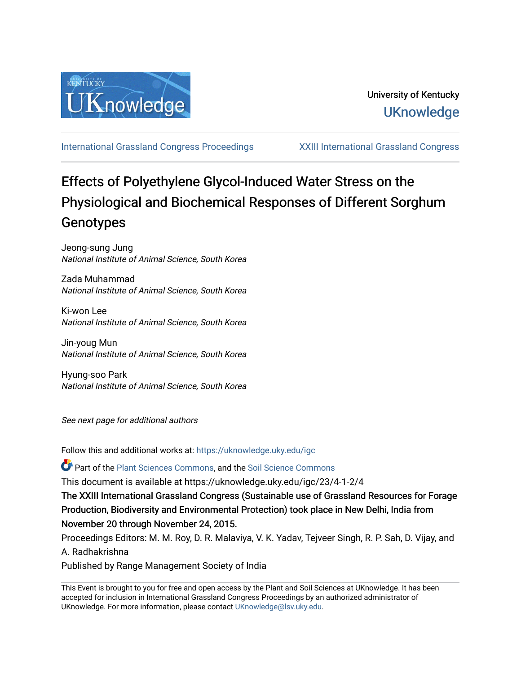

[International Grassland Congress Proceedings](https://uknowledge.uky.edu/igc) [XXIII International Grassland Congress](https://uknowledge.uky.edu/igc/23) 

# Effects of Polyethylene Glycol-Induced Water Stress on the Physiological and Biochemical Responses of Different Sorghum Genotypes

Jeong-sung Jung National Institute of Animal Science, South Korea

Zada Muhammad National Institute of Animal Science, South Korea

Ki-won Lee National Institute of Animal Science, South Korea

Jin-youg Mun National Institute of Animal Science, South Korea

Hyung-soo Park National Institute of Animal Science, South Korea

See next page for additional authors

Follow this and additional works at: [https://uknowledge.uky.edu/igc](https://uknowledge.uky.edu/igc?utm_source=uknowledge.uky.edu%2Figc%2F23%2F4-1-2%2F4&utm_medium=PDF&utm_campaign=PDFCoverPages) 

Part of the [Plant Sciences Commons](http://network.bepress.com/hgg/discipline/102?utm_source=uknowledge.uky.edu%2Figc%2F23%2F4-1-2%2F4&utm_medium=PDF&utm_campaign=PDFCoverPages), and the [Soil Science Commons](http://network.bepress.com/hgg/discipline/163?utm_source=uknowledge.uky.edu%2Figc%2F23%2F4-1-2%2F4&utm_medium=PDF&utm_campaign=PDFCoverPages) 

This document is available at https://uknowledge.uky.edu/igc/23/4-1-2/4

The XXIII International Grassland Congress (Sustainable use of Grassland Resources for Forage Production, Biodiversity and Environmental Protection) took place in New Delhi, India from November 20 through November 24, 2015.

Proceedings Editors: M. M. Roy, D. R. Malaviya, V. K. Yadav, Tejveer Singh, R. P. Sah, D. Vijay, and A. Radhakrishna

Published by Range Management Society of India

This Event is brought to you for free and open access by the Plant and Soil Sciences at UKnowledge. It has been accepted for inclusion in International Grassland Congress Proceedings by an authorized administrator of UKnowledge. For more information, please contact [UKnowledge@lsv.uky.edu](mailto:UKnowledge@lsv.uky.edu).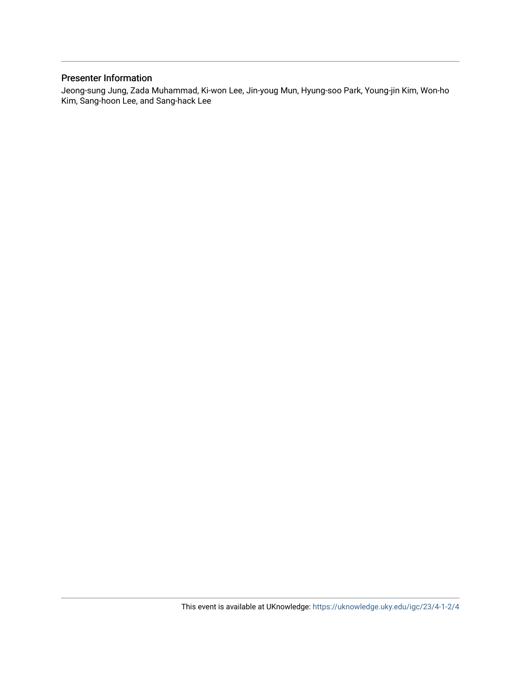# Presenter Information

Jeong-sung Jung, Zada Muhammad, Ki-won Lee, Jin-youg Mun, Hyung-soo Park, Young-jin Kim, Won-ho Kim, Sang-hoon Lee, and Sang-hack Lee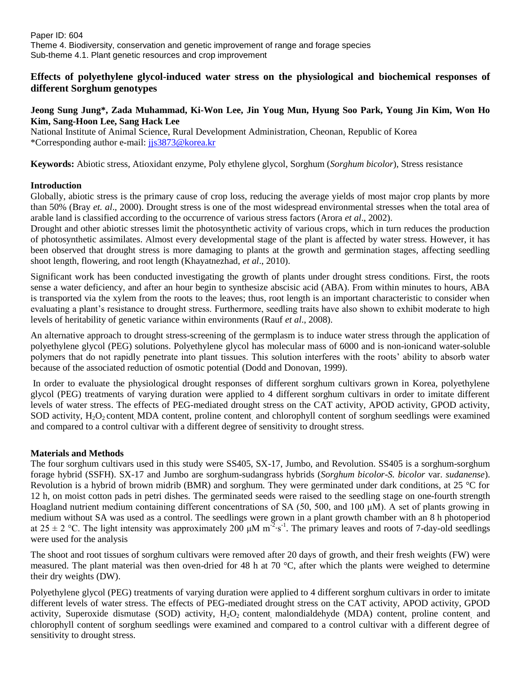# **Effects of polyethylene glycol-induced water stress on the physiological and biochemical responses of different Sorghum genotypes**

## **Jeong Sung Jung\*, Zada Muhammad, Ki-Won Lee, Jin Youg Mun, Hyung Soo Park, Young Jin Kim, Won Ho Kim, Sang-Hoon Lee, Sang Hack Lee**

National Institute of Animal Science, Rural Development Administration, Cheonan, Republic of Korea \*Corresponding author e-mail: [jjs3873@korea.kr](mailto:jjs3873@korea.kr)

**Keywords:** Abiotic stress, Atioxidant enzyme, Poly ethylene glycol, Sorghum (*Sorghum bicolor*), Stress resistance

## **Introduction**

Globally, abiotic stress is the primary cause of crop loss, reducing the average yields of most major crop plants by more than 50% (Bray *et. al*., 2000). Drought stress is one of the most widespread environmental stresses when the total area of arable land is classified according to the occurrence of various stress factors (Arora *et al*., 2002).

Drought and other abiotic stresses limit the photosynthetic activity of various crops, which in turn reduces the production of photosynthetic assimilates. Almost every developmental stage of the plant is affected by water stress. However, it has been observed that drought stress is more damaging to plants at the growth and germination stages, affecting seedling shoot length, flowering, and root length (Khayatnezhad, *et al*., 2010).

Significant work has been conducted investigating the growth of plants under drought stress conditions. First, the roots sense a water deficiency, and after an hour begin to synthesize abscisic acid (ABA). From within minutes to hours, ABA is transported via the xylem from the roots to the leaves; thus, root length is an important characteristic to consider when evaluating a plant's resistance to drought stress. Furthermore, seedling traits have also shown to exhibit moderate to high levels of heritability of genetic variance within environments (Rauf *et al*., 2008).

An alternative approach to drought stress-screening of the germplasm is to induce water stress through the application of polyethylene glycol (PEG) solutions. Polyethylene glycol has molecular mass of 6000 and is non-ionicand water-soluble polymers that do not rapidly penetrate into plant tissues. This solution interferes with the roots' ability to absorb water because of the associated reduction of osmotic potential (Dodd and Donovan, 1999).

In order to evaluate the physiological drought responses of different sorghum cultivars grown in Korea, polyethylene glycol (PEG) treatments of varying duration were applied to 4 different sorghum cultivars in order to imitate different levels of water stress. The effects of PEG-mediated drought stress on the CAT activity, APOD activity, GPOD activity, SOD activity,  $H_2O_2$  content, MDA content, proline content, and chlorophyll content of sorghum seedlings were examined and compared to a control cultivar with a different degree of sensitivity to drought stress.

## **Materials and Methods**

The four sorghum cultivars used in this study were SS405, SX-17, Jumbo, and Revolution. SS405 is a sorghum-sorghum forage hybrid (SSFH). SX-17 and Jumbo are sorghum-sudangrass hybrids (*Sorghum bicolor*-*S. bicolor* var. *sudanense*). Revolution is a hybrid of brown midrib (BMR) and sorghum. They were germinated under dark conditions, at 25 °C for 12 h, on moist cotton pads in petri dishes. The germinated seeds were raised to the seedling stage on one-fourth strength Hoagland nutrient medium containing different concentrations of SA (50, 500, and 100 μM). A set of plants growing in medium without SA was used as a control. The seedlings were grown in a plant growth chamber with an 8 h photoperiod at  $25 \pm 2$  °C. The light intensity was approximately 200  $\mu$ M m<sup>-2</sup>·s<sup>-1</sup>. The primary leaves and roots of 7-day-old seedlings were used for the analysis

The shoot and root tissues of sorghum cultivars were removed after 20 days of growth, and their fresh weights (FW) were measured. The plant material was then oven-dried for 48 h at 70 °C, after which the plants were weighed to determine their dry weights (DW).

Polyethylene glycol (PEG) treatments of varying duration were applied to 4 different sorghum cultivars in order to imitate different levels of water stress. The effects of PEG-mediated drought stress on the CAT activity, APOD activity, GPOD activity, Superoxide dismutase (SOD) activity,  $H_2O_2$  content malondialdehyde (MDA) content, proline content and chlorophyll content of sorghum seedlings were examined and compared to a control cultivar with a different degree of sensitivity to drought stress.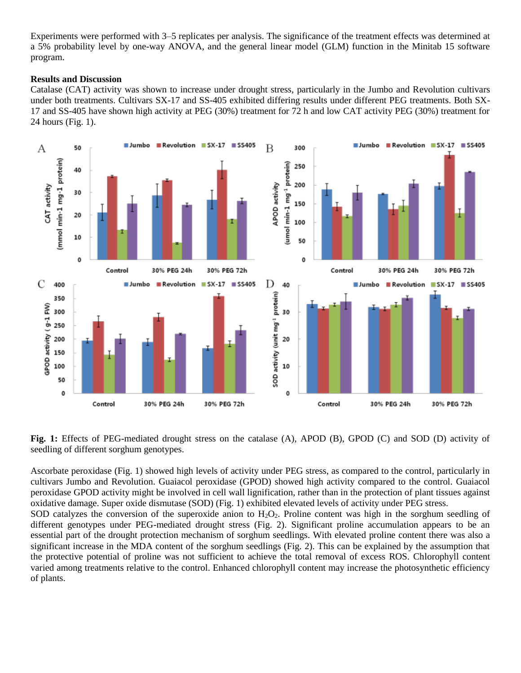Experiments were performed with 3–5 replicates per analysis. The significance of the treatment effects was determined at a 5% probability level by one-way ANOVA, and the general linear model (GLM) function in the Minitab 15 software program.

### **Results and Discussion**

Catalase (CAT) activity was shown to increase under drought stress, particularly in the Jumbo and Revolution cultivars under both treatments. Cultivars SX-17 and SS-405 exhibited differing results under different PEG treatments. Both SX-17 and SS-405 have shown high activity at PEG (30%) treatment for 72 h and low CAT activity PEG (30%) treatment for 24 hours (Fig. 1).



**Fig. 1:** Effects of PEG-mediated drought stress on the catalase (A), APOD (B), GPOD (C) and SOD (D) activity of seedling of different sorghum genotypes.

Ascorbate peroxidase (Fig. 1) showed high levels of activity under PEG stress, as compared to the control, particularly in cultivars Jumbo and Revolution. Guaiacol peroxidase (GPOD) showed high activity compared to the control. Guaiacol peroxidase GPOD activity might be involved in cell wall lignification, rather than in the protection of plant tissues against oxidative damage. Super oxide dismutase (SOD) (Fig. 1) exhibited elevated levels of activity under PEG stress.

SOD catalyzes the conversion of the superoxide anion to  $H_2O_2$ . Proline content was high in the sorghum seedling of different genotypes under PEG-mediated drought stress (Fig. 2). Significant proline accumulation appears to be an essential part of the drought protection mechanism of sorghum seedlings. With elevated proline content there was also a significant increase in the MDA content of the sorghum seedlings (Fig. 2). This can be explained by the assumption that the protective potential of proline was not sufficient to achieve the total removal of excess ROS. Chlorophyll content varied among treatments relative to the control. Enhanced chlorophyll content may increase the photosynthetic efficiency of plants.